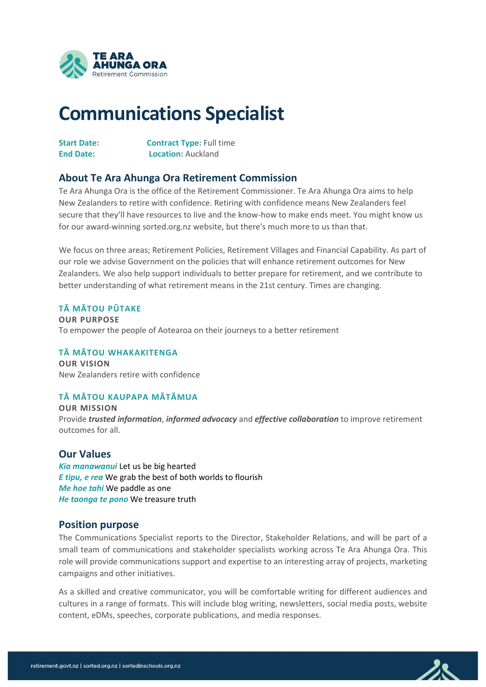

# **Communications Specialist**

| <b>Start Date:</b> | <b>Contract Type: Full time</b> |
|--------------------|---------------------------------|
| <b>End Date:</b>   | <b>Location: Auckland</b>       |

# **About Te Ara Ahunga Ora Retirement Commission**

Te Ara Ahunga Ora is the office of the Retirement Commissioner. Te Ara Ahunga Ora aims to help New Zealanders to retire with confidence. Retiring with confidence means New Zealanders feel secure that they'll have resources to live and the know-how to make ends meet. You might know us for our award-winning sorted.org.nz website, but there's much more to us than that.

We focus on three areas; Retirement Policies, Retirement Villages and Financial Capability. As part of our role we advise Government on the policies that will enhance retirement outcomes for New Zealanders. We also help support individuals to better prepare for retirement, and we contribute to better understanding of what retirement means in the 21st century. Times are changing.

#### **TĀ MĀTOU PŪTAKE**

**OUR PURPOSE**  To empower the people of Aotearoa on their journeys to a better retirement

### **TĀ MĀTOU WHAKAKITENGA**

**OUR VISION** New Zealanders retire with confidence

## **TĀ MĀTOU KAUPAPA MĀTĀMUA**

**OUR MISSION** Provide *trusted information*, *informed advocacy* and *effective collaboration* to improve retirement outcomes for all.

## **Our Values**

*Kia manawanui* Let us be big hearted *E tipu, e rea* We grab the best of both worlds to flourish *Me hoe tahi* We paddle as one *He taonga te pono* We treasure truth

## **Position purpose**

The Communications Specialist reports to the Director, Stakeholder Relations, and will be part of a small team of communications and stakeholder specialists working across Te Ara Ahunga Ora. This role will provide communications support and expertise to an interesting array of projects, marketing campaigns and other initiatives.

As a skilled and creative communicator, you will be comfortable writing for different audiences and cultures in a range of formats. This will include blog writing, newsletters, social media posts, website content, eDMs, speeches, corporate publications, and media responses.

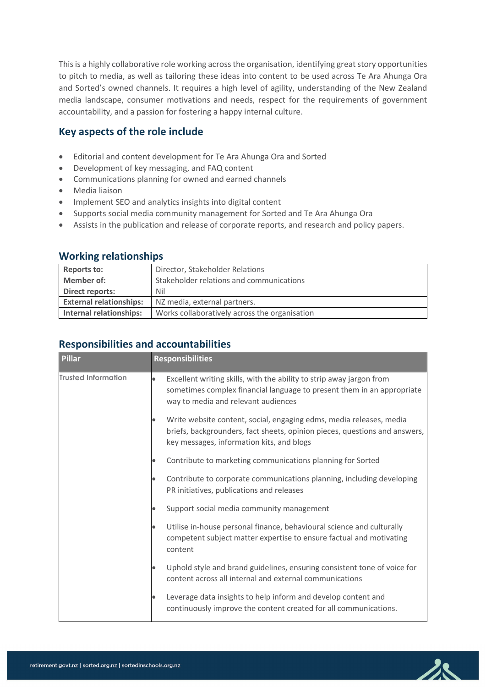This is a highly collaborative role working across the organisation, identifying great story opportunities to pitch to media, as well as tailoring these ideas into content to be used across Te Ara Ahunga Ora and Sorted's owned channels. It requires a high level of agility, understanding of the New Zealand media landscape, consumer motivations and needs, respect for the requirements of government accountability, and a passion for fostering a happy internal culture.

# **Key aspects of the role include**

- Editorial and content development for Te Ara Ahunga Ora and Sorted
- Development of key messaging, and FAQ content
- Communications planning for owned and earned channels
- Media liaison
- Implement SEO and analytics insights into digital content
- Supports social media community management for Sorted and Te Ara Ahunga Ora
- Assists in the publication and release of corporate reports, and research and policy papers.

## **Working relationships**

| <b>Reports to:</b>             | Director, Stakeholder Relations               |
|--------------------------------|-----------------------------------------------|
| <b>Member of:</b>              | Stakeholder relations and communications      |
| Direct reports:                | Nil                                           |
| <b>External relationships:</b> | NZ media, external partners.                  |
| Internal relationships:        | Works collaboratively across the organisation |

# **Responsibilities and accountabilities**

| <b>Pillar</b>              | <b>Responsibilities</b>                                                                                                                                                                        |
|----------------------------|------------------------------------------------------------------------------------------------------------------------------------------------------------------------------------------------|
| <b>Trusted Information</b> | Excellent writing skills, with the ability to strip away jargon from<br>sometimes complex financial language to present them in an appropriate<br>way to media and relevant audiences          |
|                            | Write website content, social, engaging edms, media releases, media<br>briefs, backgrounders, fact sheets, opinion pieces, questions and answers,<br>key messages, information kits, and blogs |
|                            | Contribute to marketing communications planning for Sorted                                                                                                                                     |
|                            | Contribute to corporate communications planning, including developing<br>PR initiatives, publications and releases                                                                             |
|                            | Support social media community management                                                                                                                                                      |
|                            | Utilise in-house personal finance, behavioural science and culturally<br>competent subject matter expertise to ensure factual and motivating<br>content                                        |
|                            | Uphold style and brand guidelines, ensuring consistent tone of voice for<br>content across all internal and external communications                                                            |
|                            | Leverage data insights to help inform and develop content and<br>continuously improve the content created for all communications.                                                              |

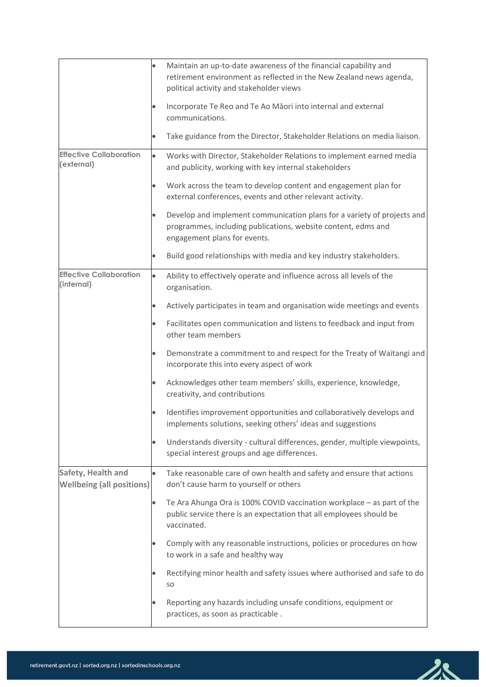|                                                                                                        |           | Maintain an up-to-date awareness of the financial capability and<br>retirement environment as reflected in the New Zealand news agenda,<br>political activity and stakeholder views |
|--------------------------------------------------------------------------------------------------------|-----------|-------------------------------------------------------------------------------------------------------------------------------------------------------------------------------------|
|                                                                                                        |           | Incorporate Te Reo and Te Ao Māori into internal and external<br>communications.                                                                                                    |
|                                                                                                        |           | Take guidance from the Director, Stakeholder Relations on media liaison.                                                                                                            |
| <b>Effective Collaboration</b><br>(external)                                                           |           | Works with Director, Stakeholder Relations to implement earned media<br>and publicity, working with key internal stakeholders                                                       |
|                                                                                                        | $\bullet$ | Work across the team to develop content and engagement plan for<br>external conferences, events and other relevant activity.                                                        |
|                                                                                                        |           | Develop and implement communication plans for a variety of projects and<br>programmes, including publications, website content, edms and<br>engagement plans for events.            |
|                                                                                                        |           | Build good relationships with media and key industry stakeholders.                                                                                                                  |
| <b>Effective Collaboration</b><br>(internal)<br>Safety, Health and<br><b>Wellbeing (all positions)</b> | $\bullet$ | Ability to effectively operate and influence across all levels of the<br>organisation.                                                                                              |
|                                                                                                        |           | Actively participates in team and organisation wide meetings and events                                                                                                             |
|                                                                                                        | $\bullet$ | Facilitates open communication and listens to feedback and input from<br>other team members                                                                                         |
|                                                                                                        |           | Demonstrate a commitment to and respect for the Treaty of Waitangi and<br>incorporate this into every aspect of work                                                                |
|                                                                                                        |           | Acknowledges other team members' skills, experience, knowledge,<br>creativity, and contributions                                                                                    |
|                                                                                                        |           | Identifies improvement opportunities and collaboratively develops and<br>implements solutions, seeking others' ideas and suggestions                                                |
|                                                                                                        |           | Understands diversity - cultural differences, gender, multiple viewpoints,<br>special interest groups and age differences.                                                          |
|                                                                                                        |           | Take reasonable care of own health and safety and ensure that actions<br>don't cause harm to yourself or others                                                                     |
|                                                                                                        |           | Te Ara Ahunga Ora is 100% COVID vaccination workplace - as part of the<br>public service there is an expectation that all employees should be<br>vaccinated.                        |
|                                                                                                        |           | Comply with any reasonable instructions, policies or procedures on how<br>to work in a safe and healthy way                                                                         |
|                                                                                                        |           | Rectifying minor health and safety issues where authorised and safe to do<br>SO.                                                                                                    |
|                                                                                                        |           | Reporting any hazards including unsafe conditions, equipment or<br>practices, as soon as practicable.                                                                               |

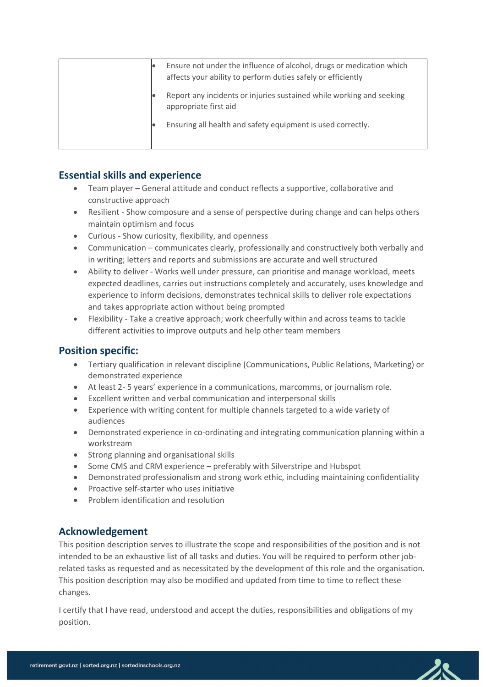|  | Ensure not under the influence of alcohol, drugs or medication which<br>affects your ability to perform duties safely or efficiently |
|--|--------------------------------------------------------------------------------------------------------------------------------------|
|  | Report any incidents or injuries sustained while working and seeking<br>appropriate first aid                                        |
|  | Ensuring all health and safety equipment is used correctly.                                                                          |

# **Essential skills and experience**

- Team player General attitude and conduct reflects a supportive, collaborative and constructive approach
- Resilient Show composure and a sense of perspective during change and can helps others maintain optimism and focus
- Curious Show curiosity, flexibility, and openness
- Communication communicates clearly, professionally and constructively both verbally and in writing; letters and reports and submissions are accurate and well structured
- Ability to deliver Works well under pressure, can prioritise and manage workload, meets expected deadlines, carries out instructions completely and accurately, uses knowledge and experience to inform decisions, demonstrates technical skills to deliver role expectations and takes appropriate action without being prompted
- Flexibility Take a creative approach; work cheerfully within and across teams to tackle different activities to improve outputs and help other team members

## **Position specific:**

- Tertiary qualification in relevant discipline (Communications, Public Relations, Marketing) or demonstrated experience
- At least 2- 5 years' experience in a communications, marcomms, or journalism role.
- Excellent written and verbal communication and interpersonal skills
- Experience with writing content for multiple channels targeted to a wide variety of audiences
- Demonstrated experience in co-ordinating and integrating communication planning within a workstream
- Strong planning and organisational skills
- Some CMS and CRM experience preferably with Silverstripe and Hubspot
- Demonstrated professionalism and strong work ethic, including maintaining confidentiality
- Proactive self-starter who uses initiative
- Problem identification and resolution

## **Acknowledgement**

This position description serves to illustrate the scope and responsibilities of the position and is not intended to be an exhaustive list of all tasks and duties. You will be required to perform other jobrelated tasks as requested and as necessitated by the development of this role and the organisation. This position description may also be modified and updated from time to time to reflect these changes.

I certify that I have read, understood and accept the duties, responsibilities and obligations of my position.